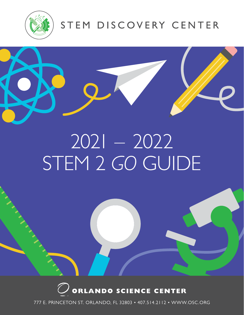

## STEM DISCOVERY CENTER



# 2021 – 2022 STEM 2 *GO* GUIDE



STEM 2 *GO* GUIDE 2021 – 2022 <sup>1</sup> **777 E. Princeton St. Orlando, FL 32803 • 407.514.2000 • www.osc.org** 777 E. PRINCETON ST. ORLANDO, FL 32803 • 407.514.2112 • WWW.OSC.ORG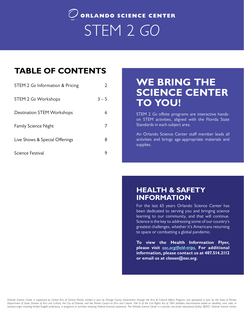## $\mathcal Q$  orlando science center STEM 2 *GO*

## **TABLE OF CONTENTS**

| STEM 2 Go Information & Pricing   |         |
|-----------------------------------|---------|
| STEM 2 Go Workshops               | $3 - 5$ |
| <b>Destination STEM Workshops</b> | 6       |
| <b>Family Science Night</b>       |         |
| Live Shows & Special Offerings    | 8       |
| Science Festival                  |         |

## **WE BRING THE SCIENCE CENTER TO YOU!**

STEM 2 *Go* offsite programs are interactive handson STEM activities, aligned with the Florida State Standards in each subject area.

An Orlando Science Center staff member leads all activities and brings age-appropriate materials and supplies.

## **HEALTH & SAFETY INFORMATION**

For the last 65 years Orlando Science Center has been dedicated to serving you and bringing science learning to our community, and that will continue. Science is the key to addressing some of our country's greatest challenges, whether it's Americans returning to space or combatting a global pandemic.

**To view the Health Information Flyer, please visit** *[osc.org/field-trips.](http://www.osc.org/field-trips)* **For additional information, please contact us at 407.514.2112 or email us at** *classes@osc.org***.**

national origin including limited English proficiency, in programs or activities receiving Federal financial assistance. The Orlando Science Center is a private, non-profit educational facility. ©2021 Orlando Science Cente *Orlando Science Center is supported by United Arts of Central Florida, funded in part by Orange County Government through the Arts & Cultural Affairs Program, and sponsored in part by the State of Florida,*  Department of State, Division of Arts and Culture, the City of Orlando, and the Florida Council on Arts and Culture. Title VI of the Civil Rights Act of 1964 prohibits discrimination based on disability, race, color, or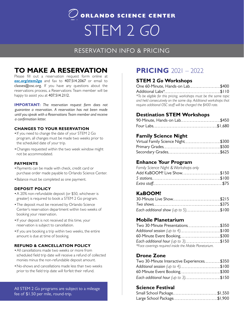## $\overline{Q}$  orlando science center STEM 2 *GO*

## RESERVATION INFO & PRICING

## **TO MAKE A RESERVATION**

Please fill out a reservation request form online at *[osc.org/stem2go](https://www.osc.org/learn/education/stem2go/)* and fax to 407.514.2067 or email to classes@osc.org. If you have any questions about the reservations process, a Reservations Team member will be happy to assist you at 407.514.2112.

**IMPORTANT:** *The reservation request form does not guarantee a reservation. A reservation has not been made until you speak with a Reservations Team member and receive a confirmation letter.*

#### **CHANGES TO YOUR RESERVATION**

- •If you need to change the date of your STEM 2 Go program, all changes must be made two weeks prior to the scheduled date of your trip.
- •Changes requested within the two week window might not be accommodated.

#### **PAYMENTS**

- •Payments can be made with check, credit card or purchase order made payable to Orlando Science Center.
- •Balance must be completed as one payment.

#### **DEPOSIT POLICY**

- •A 20% non-refundable deposit (or \$50, whichever is greater) is required to book a STEM 2 Go program.
- •The deposit must be received by Orlando Science Center's reservation department within two weeks of booking your reservation.
- •If your deposit is not received at this time, your reservation is subject to cancellation.
- •If you are booking a trip within two weeks, the entire amount is due at time of booking.

#### **REFUND & CANCELLATION POLICY**

- •All cancellations made two weeks or more from scheduled field trip date will receive a refund of collected monies minus the non-refundable deposit amount.
- •No-shows and cancellations made less than two weeks prior to the field trip date will forfeit their refund.

All STEM 2 *G*o programs are subject to a mileage fee of \$1.50 per mile, round-trip.

## **PRICING** 2021 – 2022

### **STEM 2** *Go* **Workshops**

| One 60-Minute, Hands-on Lab\$400                                   |  |
|--------------------------------------------------------------------|--|
|                                                                    |  |
| *To be eligible for this pricing, workshops must be the same topic |  |
| and held consecutively on the same day. Additional workshops that  |  |
| require additional OSC staff will be charged the \$400 rate.       |  |

## **Destination STEM Workshops**

| 90-Minute, Hands-on Lab\$450 |  |
|------------------------------|--|
|                              |  |

### **Family Science Night**

| Virtual Family Science Night\$300 |  |
|-----------------------------------|--|
|                                   |  |
|                                   |  |

## **Enhance Your Program**

| Family Science Night & Workshops only |  |
|---------------------------------------|--|
| Add KaBOOM! Live Show\$150            |  |
|                                       |  |
|                                       |  |

## **KaBOOM!**

| 30-Minute Live Show\$215            |  |
|-------------------------------------|--|
|                                     |  |
| Each additional show (up to 5)\$100 |  |

## **Mobile Planetarium**

| Two 30-Minute Presentations\$350                        |  |
|---------------------------------------------------------|--|
| Additional session (up to 4)\$100                       |  |
| 60-Minute Event Booking\$300                            |  |
| Each additional hour (up to 3)\$150                     |  |
| *Face coverings required inside the Mobile Planetarium. |  |

## **Drone Zone**

| Two 30-Minute Interactive Experiences\$350 |  |
|--------------------------------------------|--|
| Additional session (up to 4)\$100          |  |
| 60-Minute Event Booking\$300               |  |
| Each additional hour (up to 3)\$150        |  |

## **Science Festival**

| Small School Package\$1,550 |  |
|-----------------------------|--|
| Large School Package\$1,900 |  |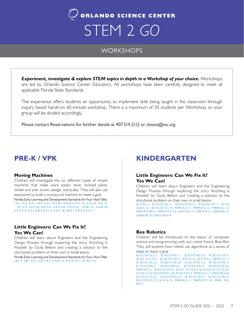## $\hat{J}$  orlando science center STEM 2 *GO*

## **WORKSHOPS**

*Experiment, investigate & explore STEM topics in depth in a Workshop of your choice.* Workshops are led by Orlando Science Center Educators. All workshops have been carefully designed to meet all applicable Florida State Standards.

The experience offers students an opportunity to implement skills being taught in the classroom through inquiry based hands-on 60-minute workshop. There is a maximum of 30 students per Workshop, so your group will be divided accordingly.

Please contact Reservations for further details at 407.514.2112 or *classes@osc.org*.

## **PRE-K / VPK**

#### **Moving Machines**

Children will investigate the six different types of simple machines that make work easier: lever, inclined plane, wheel and axle, screw, wedge, and pulley. They will also use teamwork to build a compound machine to meet a goal. Florida Early Learning and Development Standards for Four-Year-Olds: I.D.1; I.D.2; II.A.1; II.B.1; II.D.1; III.A.B.1; III.A.B.3; IV.A.1.A; IV.A.2.A; IV.C.1.C ; IV.C.2.A; IV.C.2.B; IV.F.3.A; V.A.A.3.B; V.A.A.3.C; V.A.B.1.A; V.A.B.1.B; V.A.C.2.A; V.A.C.2.B; V.A.E.1.A; V.A.E.1.B; V.B.A.1; V.B.A.2; V.C.C.1

### **Little Engineers: Can We Fix It? Yes We Can!**

Children will learn about Engineers and the Engineering Design Process through exploring the story 'Anything Is Possible' by Giulia Belloni and creating a solution to the storybook problem on their own in small teams.

Florida Early Learning and Development Standards for Four-Year-Olds: I.B.C.2, II.B.1, II.C.1, II.D.1, III.C.2, IV.A.1.A, VI.A.3, VI.C.1.A, VI.C.1.B

## **KINDERGARTEN**

### **Little Engineers: Can We Fix It? Yes We Can!**

Children will learn about Engineers and the Engineering Design Process through exploring the story 'Anything Is Possible' by Giulia Belloni and creating a solution to the storybook problem on their own in small teams.

SC.K.N.1.1, SC.K2.CS-CP.1.1, SC.K2.CS-CP.1.2, SC.K2.CS-CP.1.3, SC.K2. CS-CC.1.3, SC.K2.CS-CC.1.4, MAFS.K.G.1.1, MAFS.K.G.1.2, MAFS.K.G.1.3, MAFS.K12.MP.1.1, MAFS.K.CC.3.6, LAFS.K.RI.1.2, LAFS.K.RI.1.1, LAFS.K.RI.1.3, LAFS.K.RI.3.7, LAFS.K.RI.4.10

### **Bee Robotics**

Children will be introduced to the basics of computer science and programming with our robot friend, Blue-Bot. They will explore how robots use algorithms as a series of steps to reach a goal.

```
SC.K2.CS-CS.2.2, SC.K2.CS-PC.1.1, SC.K2.CS-PC.2.2, SC.K2.CS-CP.1.3, 
SC.K2. CS-CP.2.1, SC.K2.CS-CP.2.3, SC.K.N.1.5, SC.K.P.12.1, MAFS.K.G.1.1, 
SC.K2.CS-CS.2.2, SC.K2.CS-CS.2.3, SC.K2.CS-PC.2.2, SC.K2.CS-CP.1.3, 
SC.K2.CS-CP.2.1, SC.K2.CSCP.2.3, SC.K2.CS-CP.2.2, SC.K2.CS-CS.4.2, 
MAFS.K.G.1.1, SC.K2.CS-CS.2.2, SC.K2. CS-CS.2.4, SC.K2.CS-CS.2.3, SC.K2.
CS-CP.1.3, SC.K2.CS-CP.2.2, SC.K2.CS-CS.2.5, MAFS.K.G.1.1, LAFS.K.RI.4.10, 
SC.K2.CS-CS.2.2, SC.K2.CS-CS.2.3, SC.K2.CS-CP.1.3, SC.K2.CS-CP.2.2, 
SC.K2.CS-CS.2.5, SC.K.N.1.5, MAFS.K.G.1.1, MAFS.K.CC.2.4, MAFS. K12.
MP<sub>11</sub>
```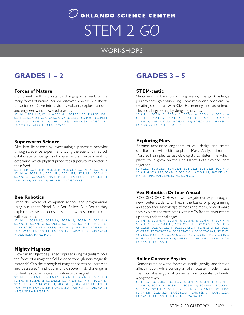## $\mathcal O$  orlando science center STEM 2 *GO*

## **WORKSHOPS**

## **GRADES 1 – 2 GRADES 3 – 5**

### **Forces of Nature**

Our planet Earth is constantly changing as a result of the many forces of nature. You will discover how the Sun affects these forces. Delve into a vicious volcano, explore erosion and engineer wind-powered objects.

SC.1.N.1.1; SC.1.N.1.3; SC.1.N.1.4; SC.2.N.1.1; SC.1.E.5.2; SC.1.E.5.4; SC.1.E.6.1; SC.1.E.6.3; SC.2.E.6.1; SC.2.E.7.4; SC.2.E.7.5; SC.2.P.8.2; SC.2.P.10.1; SC.2.P.13.3; LAFS.1.SL.1.1; LAFS.1.SL.1.2; LAFS.1.SL.1.3; LAFS.1.W.3.8; LAFS.2.SL.1.1; LAFS.2.SL.1.2; LAFS.2.SL.1.3; LAFS.2.W.3.8

#### **Superworm Science**

Dive into life science by investigating superworm behavior through a science experiment. Using the scientific method, collaborate to design and implement an experiment to determine which physical properties superworms prefer in their food.

SC.1.L.14.1; SC.1.L.16.1; SC.1.L.17.1; SC.1.N.1.1; SC.1.N.1.2; SC.1.N.1.3; SC.1.N.1.4; SC.2.L.16.1; SC.2.L.17.1; SC.2.L.17.2; SC.2.N.1.1; SC.2.N.1.2; SC.2.N.1.3; SC.2.N.1.4; MAFS.1.MD.3.4; LAFS.1.SL.1.1; LAFS.1.SL.1.3; LAFS.1.W.3.8; LAFS.2.SL.1.1; LAFS.2.SL.1.3; LAFS.2.W.3.8

#### **Bee Robotics**

Enter the world of computer science and programming using our robot friend Blue-Bot. Follow Blue-Bot as they explore the lives of honeybees and how they communicate with each other.

SC.1.N.1.1; SC.1.N.1.3; SC.1.N.1.4; SC.2.N.1.1; SC.2.N.1.2; SC.2.N.1.3; SC.2.N.1.4; SC.2.N.1.5; SC.2.N.1.6; SC.1.P.12.1; SC.1.P.13.1; SC.2.P.13.1; SC.2.P.13.2; SC.2.P.13.4; SC.2.P.8.1; LAFS.1.SL.1.1; LAFS.1.SL.1.2; LAFS.1.SL.1.3; LAFS.1.W.3.8; LAFS.2.SL.1.1; LAFS.2.SL.1.2; LAFS.2.SL.1.3; LAFS.2.W.3.8; MAFS.1.MD.1.A; MAFS.2.MD.1.1

### **Mighty Magnets**

How can an object be pushed or pulled using magnetism? Will the force of a magnetic field extend through non-magnetic materials? Can the strength of magnetic forces be increased and decreased? Find out in this discovery lab challenge as students explore force and motion with magnets!

SC.1.N.1.1; SC.1.N.1.3; SC.1.N.1.4; SC.2.N.1.1; SC.2.N.1.2; SC.2.N.1.3; SC.2.N.1.4; SC.2.N.1.5; SC.2.N.1.6; SC.1.P.12.1; SC.1.P.13.1; SC.2.P.13.1; SC.2.P.13.2; SC.2.P.13.4; SC.2.P.8.1; LAFS.1.SL.1.1; LAFS.1.SL.1.2; LAFS.1.SL.1.3; LAFS.1.W.3.8; LAFS.2.SL.1.1; LAFS.2.SL.1.2; LAFS.2.SL.1.3; LAFS.2.W.3.8; MAFS.1.MD.1.A; MAFS.2.MD.1.1

### **STEM-tastic**

Shipwreck! Embark on an Engineering Design Challenge journey through engineering! Solve real-world problems by creating structures with Civil Engineering and experience Electrical Engineering by designing circuits.

SC.3.N.1.1; SC.3.N.1.2; SC.3.N.1.3; SC.3.N.1.4; SC.3.N.1.5; SC.3.N.1.6; SC.4.N.1.1; SC.4.N.1.2; SC.4.N.1.5; SC.4.N.1.8; SC.5.P.11.1; SC.5.P.11.2; SC.5.N.1.3; MAFS.3.MD.2.4; MAFS.4.MD.1.1; LAFS.3.SL.1.1; LAFS.3.SL.1.3; LAFS.3.SL.2.6; LAFS.4.SL.1.1; LAFS.5.SL.1.1

### **Exploring Mars**

Become aerospace engineers as you design and create satellites that will orbit the planet Mars. Analyze simulated Mars soil samples as astrobiologists to determine which plants could grow on the Red Planet. Let's explore Mars together!

SC.3.E.5.2; SC.3.E.5.3; SC.4.E.5.4; SC.5.E.5.2; SC.5.E.5.3; SC.3.N.1.3; SC.3.N.1.4; SC.3.N.3.2; SC.4.N.1.5; SC.3.P.10.1; LAFS.3.SL.1.1; MAFS.K12.MP.1; MAFS.K12.MP.5; MAFS.3.MD.1.2; MAFS.5.MD.2.2

### **Vex Robotics: Detour Ahead**

ROADS CLOSED! How do we navigate our way through a new route? Students will learn the basics of programming and apply their knowledge of maps and measurement while they explore alternate paths with a VEX Robot. Is your team up to this robot challenge?

SC.3.N.1.3; SC.3.N.1.4; SC.3.N.1.5; SC.3.N.1.6; SC.4.N.1.5; SC.4.N.1.6; SC.5.N.1.3; SC.35.CS-CC.1.3; SC.35.CS-CC.1.4; SC.35.CS-CC.1.5; SC.35. CS-CS.1.2; SC.35.CS-CS.2.1; SC.35.CS-CS.2.4; SC.35.CS-CS.2.6; SC.35. CS-CS.2.7; SC.35.CS-CS.2.8; SC.35.CS-CS.2.9; SC.35.CS-CS.6.2; SC.35.CS-CS.6.3; SC.35.CS-CP.2.2; SC.35.CS-CP.2.3; SC.35.CS-CP.2.4; SC.35.CS-CP.2.5; MAFS.4.MD.3.5; MAFS.4.MD.3.6; LAFS.3.SL.1.1; LAFS.3.SL.1.3; LAFS.3.SL.2.6; LAFS.4.SL.1.1: LAFS.5.SL.1.1

#### **Roller Coaster Physics**

Demonstrate how the forces of inertia, gravity, and friction affect motion while building a roller coaster model. Trace the flow of energy as it converts from potential to kinetic along the track.

SC.3.P.10.2; SC.3.P.11.2; SC.3.E.5.5; SC.3.N.1.2; SC.3.N.1.3; SC.3.N.1.4; SC.3.N.1.5; SC.3.N.1.6; SC.3.N.3.2; SC.3.N.3.3; SC.4.P.10.1; SC.4.P.10.2; SC.4.P.12.2; SC.4.N.1.2; SC.4.N.1.5; SC.4.N.1.6; SC.4.N.1.8; SC.5.P.10.2; SC.5.P.13.1; SC.5.N.1.3; LAFS.3.SL.1.1; LAFS.3.SL.1.3; LAFS.3.SL.2.6; LAFS.4.SL.1.1; LAFS.5.SL.1.1; MAFS.3.MD.1; MAFS.4.MD.1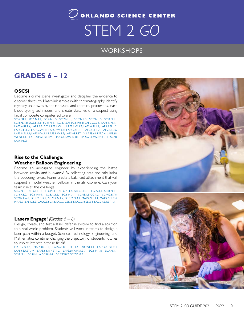## $\mathcal O$  orlando science center STEM 2 *GO*

## **WORKSHOPS**

## **GRADES 6 – 12**

## **OSCSI**

Become a crime scene investigator and decipher the evidence to discover the truth! Match ink samples with chromatography, identify mystery unknowns by their physical and chemical properties, learn blood-typing techniques, and create sketches of a suspect using facial composite computer software.

SC.6.N1.1; SC.6.N.1.4; SC.6.N.1.5; SC.7.N.1.1; SC.7.N.1.3; SC.7.N.1.5; SC.8.N.1.1; SC.8.N.1.3; SC.8.N.1.6; SC.8.N.4.1; SC.8.P.8.4; SC.8.P.8.8; LAFS.6.L.3.6; LAFS.6.RI.1.1; LAFS.6.RI.2.4; LAFS.6.RI.3.7; LAFS.6.W.1.1; LAFS.6.W.3.7; LAFS.6.SL.1.1; LAFS.6.SL.1.2; LAFS.7.L.3.6; LAFS.7.W.1.1; LAFS.7.W.3.7; LAFS.7.SL.1.1; LAFS.7.SL.1.2; LAFS.8.L.3.6; LAFS.8.SL.1.1; LAFS.8.W.1.1; LAFS.8.W.3.7; LAFS.68.RST.1.3; LAFS.68.RST.2.4; LAFS.68. WHST.1.1; LAFS.68.WHST.3.9; LPSS.68.LAW.02.01; LPSS.68.LAW.02.03; LPSS.68. LAW.02.05

### **Rise to the Challenge: Weather Balloon Engineering**

Become an aerospace engineer by experiencing the battle between gravity and buoyancy! By collecting data and calculating the opposing forces, teams create a balanced attachment that will suspend a model weather balloon in the atmosphere. Can your team rise to the challenge?

SC.6.N.1.1, SC.6.N.1.4, SC.6.P.13.1, SC.6.P.13.2, SC.6.P.13.3, SC.7.N.1.1, SC.8.N.1.1, SC.8.P.8.2, SC.8.P.8.4, SC.8.N.1.5, SC.8.N.3.1, SC.68.CS-CC.1.2, SC.912.E.7.8, SC.912.E.6.6, SC.912.P.12.4, SC.912.N.1.7, SC.912.N.4.1, MAFS.7.EE.1.1, MAFS.7.EE.2.4, MAFS.912.N-Q.1.3, LACC.6.SL.1.3, LACC.6.SL.2.4, LACC.8.SL.2.4, LACC.68.RST.1.3

## **Lasers Engage!** *(Grades 6 – 8)*

Design, create, and test a laser defense system to find a solution to a real-world problem. Students will work in teams to design a laser path within a budget. Science, Technology, Engineering, and Mathematics combine, changing the trajectory of students' futures to inspire interest in these fields!

MAFS.7.G.2.5; MAFS.8.G.1.1; LAFS.68.RST.1.3; LAFS.68.RST.1.1; LAFS.68.RST.2.4; LAFS.68.RST.3.9; LAFS.68.WHST.1.2; LAFS.68.WHST.3.7; SC.6.N.1.1; SC.7.N.1.1; SC.8.N.1.1; SC.8.N.1.6; SC.8.N.4.1; SC.7.P.10.2; SC.7.P.10.3

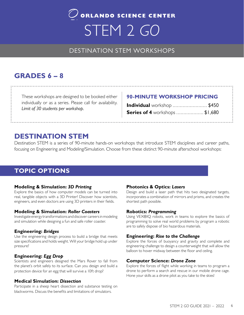## $\mathcal{O}$  orlando science center STEM 2 *GO*

## DESTINATION STEM WORKSHOPS

## **GRADES 6 – 8**

These workshops are designed to be booked either individually or as a series. Please call for availability. *Limit of 30 students per workshop.*

## **90-MINUTE WORKSHOP PRICING**

| Individual workshop  \$450            |  |
|---------------------------------------|--|
| <b>Series of 4</b> workshops  \$1,680 |  |

## **DESTINATION STEM**

Destination STEM is a series of 90-minute hands-on workshops that introduce STEM disciplines and career paths, focusing on Engineering and Modeling/Simulation. Choose from these distinct 90-minute afterschool workshops:

## **TOPIC OPTIONS**

## **Modeling & Simulation:** *3D Printing*

Explore the basics of how computer models can be turned into real, tangible objects with a 3D Printer! Discover how scientists, engineers, and even doctors are using 3D printers in their fields.

### **Modeling & Simulation:** *Roller Coasters*

Investigate energy transformations and discover careers in modeling and simulation while designing a fun and safe roller coaster.

## **Engineering:** *Bridges*

Use the engineering design process to build a bridge that meets size specifications and holds weight. Will your bridge hold up under pressure?

## **Engineering:** *Egg Drop*

Scientists and engineers designed the Mars Rover to fall from the planet's orbit safely to its surface. Can you design and build a protection device for an egg that will survive a 10ft drop?

### **Medical Simulation:** *Dissection*

Participate in a sheep heart dissection and substance testing on blackworms. Discuss the benefits and limitations of simulators.

## **Photonics & Optics:** *Lasers*

Design and build a laser path that hits two designated targets, incorporates a combination of mirrors and prisms, and creates the shortest path possible.

### **Robotics:** *Programming*

Using VEX®IQ robots, work in teams to explore the basics of programming to solve real world problems by program a robotic are to safely dispose of bio hazardous materials.

## **Engineering:** *Rise to the Challenge*

Explore the forces of buoyancy and gravity and complete and engineering challenge to design a counterweight that will allow the balloon to hover midway between the floor and ceiling.

## **Computer Science:** *Drone Zone*

Explore the forces of flight while working in teams to program a drone to perform a search and rescue in our mobile drone cage. Hone your skills as a drone pilot as you take to the skies!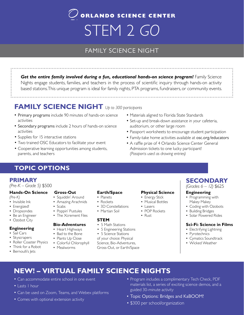## $\bigcirc$  orlando science center STEM 2 *GO*

## FAMILY SCIENCE NIGHT

*Get the entire family involved during a fun, educational hands-on science program!* Family Science Nights engage students, families, and teachers in the process of scientific inquiry through hands-on activity based stations. This unique program is ideal for family nights, PTA programs, fundraisers, or community events.

## **FAMILY SCIENCE NIGHT** *Up to 300 participants*

- Primary programs include 90 minutes of hands-on science activities
- Secondary programs include 2 hours of hands-on science activities
- Supplies for 15 interactive stations
- Two trained OSC Educators to facilitate your event
- Cooperative learning opportunities among students, parents, and teachers
- Materials aligned to Florida State Standards
- Set-up and break-down assistance in your cafeteria, auditorium, or other large room
- Passport worksheets to encourage student participation
- Family-take home activities available at osc.org/educators
- A raffle prize of 4 Orlando Science Center General Admission tickets to one lucky participant! *(Passports used as drawing entries)*

## **TOPIC OPTIONS**

## **PRIMARY**

#### *(Pre-K – Grade 5)* \$500

#### **Hands-On Science**

*(Pre-K)*

- Invisible Ink
- Energized!
- Dropsondes
- Be an Engineer
- Ozobot City

#### **Engineering**

- Sail Cars
- Skyscrapers
- Roller Coaster Physics
- Think for a Robot
- Bernoulli's Jets

#### **Gross-Out**

- Squiddin' Around
- Amazing Arachnids
- Scabs
- Poppin' Pustules
- The Xcrement Files

#### **Bio-Adventures**

- Heart Highways
- Bad to the Bone
- Plants Up Close
- Colorful Chlorophyll
- 
- Mealworms

#### **Earth/Space**

- Planets
- Rockets
- 3D Constellations
- Martian Soil

#### **STEM**

- 5 Math Stations
- 5 Engineering Stations
- 5 Science Stations
- of your choice: Physical
- Science, Bio-Adventures,
- Gross-Out, or Earth/Space

### **Physical Science**

- Energy Stick
- Musical Bottles
- Lasers
- POP Rockets
- Rust

## **SECONDARY** *(Grades 6 – 12)* \$625

## **Engineering**

- Programming with Makey Makey
- Coding with Ozobots
- Building Bridges
- Solar Powered Rides

#### **Sci-Fi: Science in Films**

- Electrifying Lightning
- Pyrotechnics
- Cymatics Soundtrack
- Wicked Weather

## **NEW! – VIRTUAL FAMILY SCIENCE NIGHTS**

- Can accommodate entire school in one event
- Lasts 1 hour
- Can be used on Zoom, Teams, and Webex platforms
- Comes with optional extension activity
- Program includes a complimentary Tech Check, PDF materials list, a series of exciting science demos, and a guided 30-minute activity
- Topic Options: Bridges and KaBOOM!
- STEM 2 GOOD • \$300 per school/organization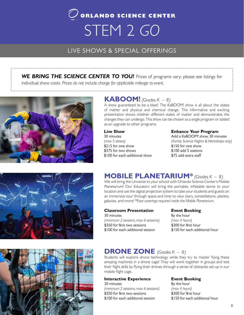## $\mathcal Q$  orlando science center STEM 2 *GO*

## LIVE SHOWS & SPECIAL OFFERINGS LIVE SHOWS & SPECIAL OFFERINGS

**WE BRING THE SCIENCE CENTER TO YOU!** Prices of programs vary; please see listings for individual show costs. *Prices do not include charge for applicable mileage to event.*



## **KABOOM!** *(Grades K – 8)*

A show guaranteed to be a blast! The KaBOOM! show is all about the states of matter and physical and chemical change. This informative and exciting presentation shows children different states of matter and demonstrates the changes they can undergo. This show can be chosen as a single program or added as an upgrade to other programs.

### **Live Show**

30 minutes *(max 5 shows)*  \$215 for one show \$375 for two shows \$100 for each additional show

### **Enhance Your Program**

Add a KaBOOM! show*,* 30 minutes *(Family Science Nights & Workshops only)* \$150 for one show \$100 add 5 stations \$75 add extra staff



## **MOBILE PLANETARIUM\*** *(Grades K – 8)*

We will bring the Universe to your school with Orlando Science Center's Mobile Planetarium! Our Educators will bring the portable, inflatable dome to your location and use the digital projection system to take your students and guests on an immersive tour through space and time to view stars, constellations, planets, galaxies, and more! \**Face coverings required inside the Mobile Planetarium.*

#### **Classroom Presentation**

30 minutes *(minimum 2 sessions, max 6 sessions)* \$350 for first two sessions

\$100 for each additional session

#### **Event Booking** By the hour

*(max 4 hours)* \$300 for first hour \$150 for each additional hour



## **DRONE ZONE** *(Grades K – 8)*

Students will explore drone technology while they try to master flying these amazing machines in a drone cage! They will work together in groups and test their flight skills by flying their drones through a series of obstacles set-up in our mobile flight cage.

#### **Interactive Experience**

30 minutes *(minimum 2 sessions, max 6 sessions)* \$350 for first two sessions \$100 for each additional session

### **Event Booking**

By the hour *(max 4 hours)* \$300 for first hour \$150 for each additional hour